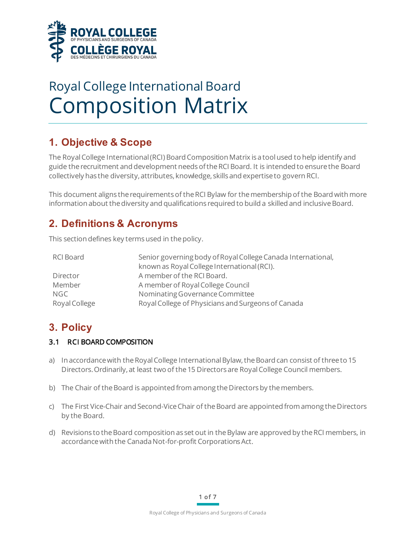

# Royal College International Board Composition Matrix

# **1. Objective & Scope**

The Royal College International (RCI) Board Composition Matrix is a tool used to help identify and guide the recruitment and development needsof the RCI Board. It is intended to ensure the Board collectively has the diversity, attributes, knowledge, skillsand expertise to govern RCI.

This document aligns therequirements of the RCI Bylaw for the membership of the Board with more information about the diversity and qualifications required to build a skilled and inclusive Board.

## **2. Definitions & Acronyms**

This section defines key terms used in the policy.

| RCI Board     | Senior governing body of Royal College Canada International, |
|---------------|--------------------------------------------------------------|
|               | known as Royal College International (RCI).                  |
| Director      | A member of the RCI Board.                                   |
| Member        | A member of Royal College Council                            |
| <b>NGC</b>    | Nominating Governance Committee                              |
| Royal College | Royal College of Physicians and Surgeons of Canada           |

## **3. Policy**

### 3.1 RCI BOARD COMPOSITION

- a) In accordance with the Royal College International Bylaw, the Board can consist of three to 15 Directors.Ordinarily, at least two of the 15 Directors are Royal College Council members.
- b) The Chair of the Board is appointed from among the Directors by the members.
- c) The First Vice-Chair and Second-Vice Chair of the Board are appointed from among the Directors by the Board.
- d) Revisions to the Board composition as set out in the Bylaw are approved by the RCI members, in accordance with the Canada Not-for-profit Corporations Act.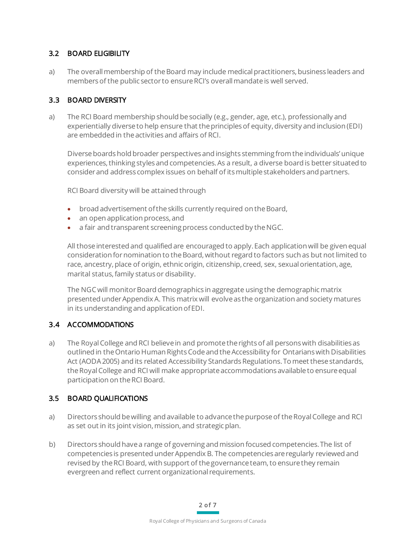#### 3.2 BOARD ELIGIBILITY

a) The overall membership of the Board may include medical practitioners, business leaders and members of the public sector to ensure RCI's overall mandate is well served.

#### 3.3 BOARD DIVERSITY

a) The RCI Board membership should besocially (e.g., gender, age, etc.), professionally and experientially diverse to help ensure that the principles of equity, diversity and inclusion (EDI) are embedded in the activities and affairs of RCI.

Diverse boards hold broader perspectives and insights stemming from the individuals'unique experiences, thinking styles and competencies. As a result, a diverse board is better situated to consider and address complex issues on behalf of its multiple stakeholders and partners.

RCI Board diversity will be attained through

- broad advertisement of the skills currently required on the Board,
- an open application process, and
- a fair and transparent screening process conducted by the NGC.

All those interested and qualified are encouraged to apply. Each application will be given equal consideration for nomination to the Board, without regard to factors such as but not limited to race, ancestry, place of origin, ethnic origin, citizenship, creed, sex, sexual orientation, age, marital status, family status or disability.

The NGC will monitor Board demographics in aggregate using the demographic matrix presented under Appendix A. This matrix will evolve as the organization and society matures in its understanding and application of EDI.

### 3.4 ACCOMMODATIONS

a) The Royal College and RCI believe in and promote the rights of all persons with disabilities as outlined in the Ontario Human Rights Code and the Accessibility for Ontarians with Disabilities Act (AODA 2005) and its related Accessibility Standards Regulations. To meet these standards, the Royal College and RCI will make appropriate accommodations available to ensure equal participation on the RCI Board.

### 3.5 BOARD QUALIFICATIONS

- a) Directors should be willing and available to advance the purpose of the Royal College and RCI as set out in its joint vision, mission, and strategic plan.
- b) Directors should have a range of governing and mission focused competencies. The list of competencies is presented under Appendix B. The competencies are regularly reviewed and revised by the RCI Board, with support of the governance team, to ensure they remain evergreen and reflect current organizational requirements.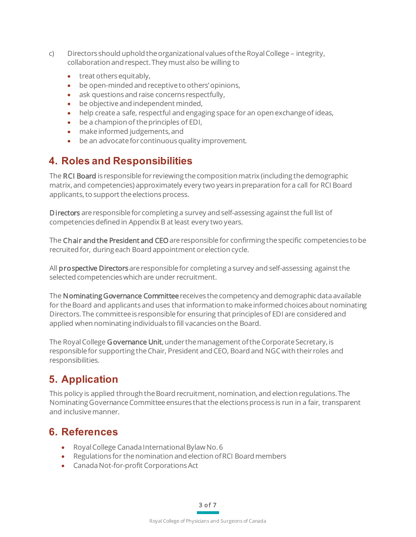- c) Directors should uphold the organizational values of the Royal College integrity, collaboration and respect. They must also be willing to
	- treat others equitably,
	- be open-minded and receptive to others' opinions,
	- ask questions and raise concerns respectfully.
	- be objective and independent minded,
	- help create a safe, respectful and engaging space for an open exchange of ideas,
	- be a champion of the principles of EDI,
	- make informed judgements, and
	- be an advocate for continuous quality improvement.

## **4. Roles and Responsibilities**

The RCI Board is responsible for reviewing the composition matrix (including the demographic matrix, and competencies) approximately every two years in preparation for a call for RCI Board applicants, to support the elections process.

Directors are responsible for completing a survey and self-assessing against the full list of competencies defined in Appendix B at least every two years.

The Chair and the President and CEO are responsible for confirming the specific competencies to be recruited for, during each Board appointment or election cycle.

All prospective Directors are responsible for completing a survey and self-assessing against the selected competencies which are under recruitment.

The Nominating Governance Committee receives the competency and demographic data available for the Board and applicants and uses that information to make informed choices about nominating Directors. The committee is responsible for ensuring that principles of EDI are considered and applied when nominating individuals to fill vacancies on the Board.

The Royal College Governance Unit, under the management of the Corporate Secretary, is responsible for supporting the Chair, President and CEO, Board and NGC with their roles and responsibilities.

# **5. Application**

This policy is applied through the Board recruitment, nomination, and election regulations. The Nominating Governance Committee ensures that the elections process is run in a fair, transparent and inclusive manner.

## **6. References**

- Royal College Canada International Bylaw No. 6
- Regulations for the nomination and election of RCI Board members
- Canada Not-for-profit Corporations Act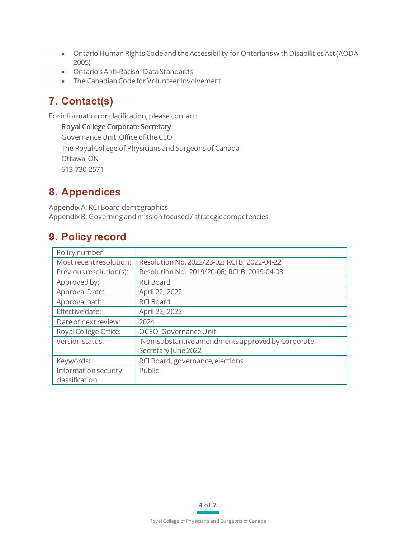- Ontario Human Rights Code and the Accessibility for Ontarians with Disabilities Act (AODA 2005)
- Ontario's Anti-Racism Data Standards
- The Canadian Code for Volunteer Involvement

# **7. Contact(s)**

For information or clarification, please contact:

Royal College Corporate Secretary Governance Unit, Office of the CEO The Royal College of Physicians and Surgeons of Canada Ottawa, ON 613-730-2571

# **8. Appendices**

Appendix A: RCI Board demographics Appendix B: Governing and mission focused / strategic competencies

## **9. Policy record**

| Policy number           |                                                  |
|-------------------------|--------------------------------------------------|
| Most recent resolution: | Resolution No. 2022/23-02; RCI B: 2022-04-22     |
| Previous resolution(s): | Resolution No. 2019/20-06; RCI B: 2019-04-08     |
| Approved by:            | <b>RCI Board</b>                                 |
| Approval Date:          | April 22, 2022                                   |
| Approval path:          | <b>RCI Board</b>                                 |
| Effective date:         | April 22, 2022                                   |
| Date of next review:    | 2024                                             |
| Royal College Office:   | OCEO, Governance Unit                            |
| Version status:         | Non-substantive amendments approved by Corporate |
|                         | Secretary June 2022                              |
| Keywords:               | RCI Board, governance, elections                 |
| Information security    | Public                                           |
| classification          |                                                  |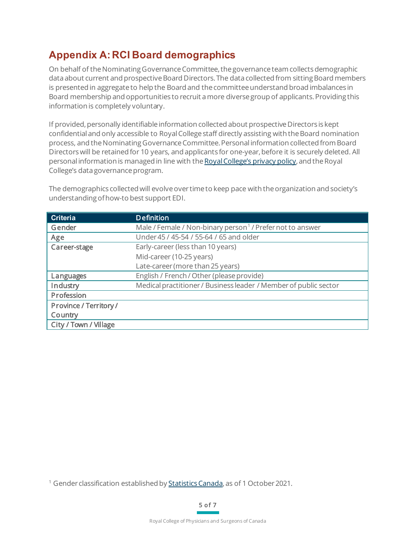# **Appendix A: RCI Board demographics**

On behalf of the NominatingGovernanceCommittee, the governance team collects demographic data about current and prospective Board Directors. The data collected from sitting Board members is presented in aggregate to help the Board and the committee understand broad imbalances in Board membership and opportunities to recruit a more diverse group of applicants. Providing this information is completely voluntary.

If provided, personally identifiable information collected about prospective Directors is kept confidential and only accessible to Royal College staff directly assisting with the Board nomination process, and the Nominating Governance Committee. Personal information collected from Board Directors will be retained for 10 years, and applicants for one-year, before it is securely deleted. All personal information is managed in line with th[e Royal College's privacy policy,](https://www.royalcollege.ca/rcsite/about/privacy-e) and the Royal College's data governance program.

The demographics collected will evolve over timeto keep pace with the organization and society's understanding of how-to best support EDI.

| <b>Criteria</b>               | <b>Definition</b>                                                     |
|-------------------------------|-----------------------------------------------------------------------|
| Gender                        | Male / Female / Non-binary person <sup>1</sup> / Prefer not to answer |
| Age                           | Under 45 / 45-54 / 55-64 / 65 and older                               |
| Career-stage                  | Early-career (less than 10 years)                                     |
|                               | Mid-career (10-25 years)                                              |
|                               | Late-career (more than 25 years)                                      |
| Languages                     | English / French / Other (please provide)                             |
| Industry                      | Medical practitioner / Business leader / Member of public sector      |
| Profession                    |                                                                       |
| <b>Province / Territory /</b> |                                                                       |
| Country                       |                                                                       |
| City / Town / Village         |                                                                       |

<span id="page-4-0"></span><sup>&</sup>lt;sup>1</sup> Gender classification established by **Statistics Canada**, as of 1 October 2021.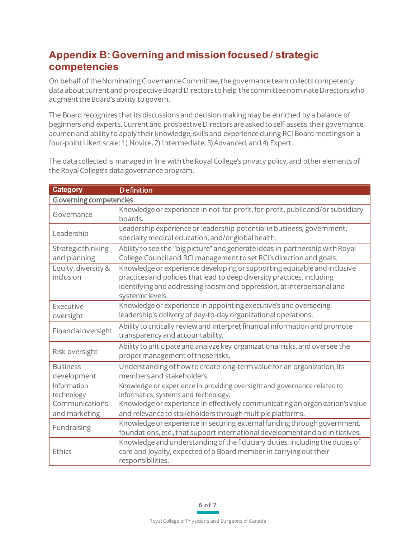# **Appendix B: Governing and mission focused / strategic competencies**

On behalf of the Nominating Governance Committee, the governance team collects competency data about current and prospective Board Directors to help the committee nominate Directorswho augment the Board's ability to govern.

The Board recognizes that its discussions and decision making may be enriched by a balance of beginners and experts. Current and prospective Directors are asked to self-assess their governance acumen and ability to apply their knowledge, skills and experience during RCI Board meetings on a four-point Likert scale: 1) Novice, 2) Intermediate, 3) Advanced, and 4) Expert.

The data collected is managed in line with the Royal College's privacy policy, and other elements of the Royal College's data governance program.

| <b>Category</b>                    | <b>Definition</b>                                                                                                                                                                                                                                 |  |
|------------------------------------|---------------------------------------------------------------------------------------------------------------------------------------------------------------------------------------------------------------------------------------------------|--|
| <b>Governing competencies</b>      |                                                                                                                                                                                                                                                   |  |
| Governance                         | Knowledge or experience in not-for-profit, for-profit, public and/or subsidiary<br>boards.                                                                                                                                                        |  |
| Leadership                         | Leadership experience or leadership potential in business, government,<br>specialty medical education, and/or global health.                                                                                                                      |  |
| Strategic thinking<br>and planning | Ability to see the "big picture" and generate ideas in partnership with Royal<br>College Council and RCI management to set RCI's direction and goals.                                                                                             |  |
| Equity, diversity &<br>inclusion   | Knowledge or experience developing or supporting equitable and inclusive<br>practices and policies that lead to deep diversity practices, including<br>identifying and addressing racism and oppression, at interpersonal and<br>systemic levels. |  |
| Executive<br>oversight             | Knowledge or experience in appointing executive's and overseeing<br>leadership's delivery of day-to-day organizational operations.                                                                                                                |  |
| Financial oversight                | Ability to critically review and interpret financial information and promote<br>transparency and accountability.                                                                                                                                  |  |
| Risk oversight                     | Ability to anticipate and analyze key organizational risks, and oversee the<br>proper management of those risks.                                                                                                                                  |  |
| <b>Business</b><br>development     | Understanding of how to create long-term value for an organization, its<br>members and stakeholders.                                                                                                                                              |  |
| Information<br>technology          | Knowledge or experience in providing oversight and governance related to<br>informatics, systems and technology.                                                                                                                                  |  |
| Communications<br>and marketing    | Knowledge or experience in effectively communicating an organization's value<br>and relevance to stakeholders through multiple platforms.                                                                                                         |  |
| Fundraising                        | Knowledge or experience in securing external funding through government,<br>foundations, etc., that support international development and aid initiatives.                                                                                        |  |
| Ethics                             | Knowledge and understanding of the fiduciary duties, including the duties of<br>care and loyalty, expected of a Board member in carrying out their<br>responsibilities.                                                                           |  |